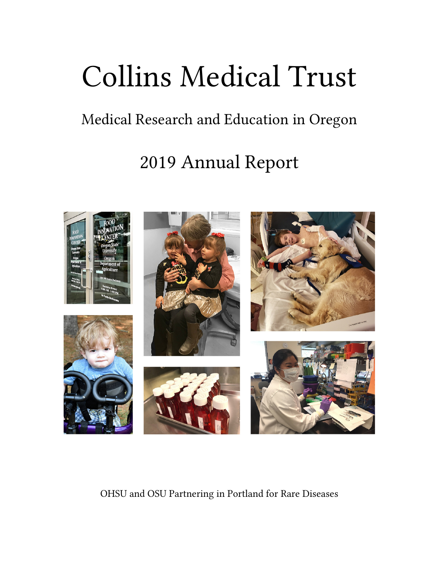# Collins Medical Trust

# Medical Research and Education in Oregon

# 2019 Annual Report



OHSU and OSU Partnering in Portland for Rare Diseases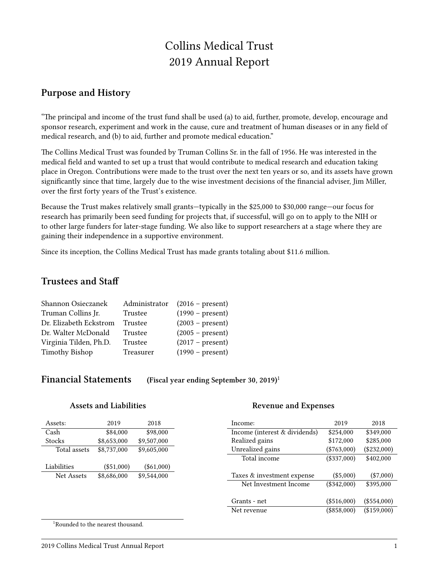# Collins Medical Trust 2019 Annual Report

#### **Purpose and History**

"The principal and income of the trust fund shall be used (a) to aid, further, promote, develop, encourage and sponsor research, experiment and work in the cause, cure and treatment of human diseases or in any field of medical research, and (b) to aid, further and promote medical education."

The Collins Medical Trust was founded by Truman Collins Sr. in the fall of 1956. He was interested in the medical field and wanted to set up a trust that would contribute to medical research and education taking place in Oregon. Contributions were made to the trust over the next ten years or so, and its assets have grown significantly since that time, largely due to the wise investment decisions of the financial adviser, Jim Miller, over the first forty years of the Trust's existence.

Because the Trust makes relatively small grants—typically in the \$25,000 to \$30,000 range—our focus for research has primarily been seed funding for projects that, if successful, will go on to apply to the NIH or to other large funders for later-stage funding. We also like to support researchers at a stage where they are gaining their independence in a supportive environment.

Since its inception, the Collins Medical Trust has made grants totaling about \$11.6 million.

### **Trustees and Staff**

| Shannon Osieczanek     | Administrator | $(2016 - present)$ |
|------------------------|---------------|--------------------|
| Truman Collins Jr.     | Trustee       | $(1990 - present)$ |
| Dr. Elizabeth Eckstrom | Trustee       | $(2003 - present)$ |
| Dr. Walter McDonald    | Trustee       | $(2005 - present)$ |
| Virginia Tilden, Ph.D. | Trustee       | $(2017 - present)$ |
| <b>Timothy Bishop</b>  | Treasurer     | $(1990 - present)$ |
|                        |               |                    |

**Financial Statements (Fiscal year ending September 30, 2019)**<sup>1</sup>

#### **Assets and Liabilities**

#### **Revenue and Expenses**

| Assets:      | 2019         | 2018         | Income:                       | 2019          | 2018          |
|--------------|--------------|--------------|-------------------------------|---------------|---------------|
| Cash         | \$84,000     | \$98,000     | Income (interest & dividends) | \$254,000     | \$349,000     |
| Stocks       | \$8,653,000  | \$9,507,000  | Realized gains                | \$172,000     | \$285,000     |
| Total assets | \$8,737,000  | \$9,605,000  | Unrealized gains              | $(\$763,000)$ | $(\$232,000)$ |
|              |              |              | Total income                  | $(\$337,000)$ | \$402,000     |
| Liabilities  | $(\$51,000)$ | $(\$61,000)$ |                               |               |               |
| Net Assets   | \$8,686,000  | \$9,544,000  | Taxes & investment expense    | $(\$5,000)$   | $(\$7,000)$   |
|              |              |              | Net Investment Income         | $(\$342,000)$ | \$395,000     |
|              |              |              |                               |               |               |
|              |              |              | Grants - net                  | $(\$516,000)$ | $(\$554,000)$ |
|              |              |              | Net revenue                   | $(\$858,000)$ | (\$159,000)   |
|              |              |              |                               |               |               |

<sup>1</sup>Rounded to the nearest thousand.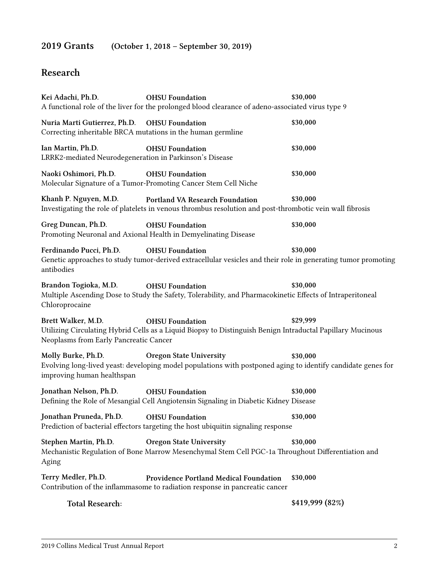# **2019 Grants (October 1, 2018 – September 30, 2019)**

# **Research**

| Kei Adachi, Ph.D.                                                                                           | <b>OHSU</b> Foundation<br>A functional role of the liver for the prolonged blood clearance of adeno-associated virus type 9                    | \$30,000        |
|-------------------------------------------------------------------------------------------------------------|------------------------------------------------------------------------------------------------------------------------------------------------|-----------------|
| Nuria Marti Gutierrez, Ph.D. OHSU Foundation<br>Correcting inheritable BRCA mutations in the human germline |                                                                                                                                                | \$30,000        |
| Ian Martin, Ph.D.<br>LRRK2-mediated Neurodegeneration in Parkinson's Disease                                | <b>OHSU</b> Foundation                                                                                                                         | \$30,000        |
| Naoki Oshimori, Ph.D.                                                                                       | <b>OHSU Foundation</b><br>Molecular Signature of a Tumor-Promoting Cancer Stem Cell Niche                                                      | \$30,000        |
| Khanh P. Nguyen, M.D.                                                                                       | Portland VA Research Foundation<br>Investigating the role of platelets in venous thrombus resolution and post-thrombotic vein wall fibrosis    | \$30,000        |
| Greg Duncan, Ph.D.                                                                                          | <b>OHSU Foundation</b><br>Promoting Neuronal and Axional Health in Demyelinating Disease                                                       | \$30,000        |
| Ferdinando Pucci, Ph.D.<br>antibodies                                                                       | <b>OHSU</b> Foundation<br>Genetic approaches to study tumor-derived extracellular vesicles and their role in generating tumor promoting        | \$30,000        |
| Brandon Togioka, M.D.<br>Chloroprocaine                                                                     | <b>OHSU</b> Foundation<br>Multiple Ascending Dose to Study the Safety, Tolerability, and Pharmacokinetic Effects of Intraperitoneal            | \$30,000        |
| Brett Walker, M.D.<br>Neoplasms from Early Pancreatic Cancer                                                | <b>OHSU</b> Foundation<br>Utilizing Circulating Hybrid Cells as a Liquid Biopsy to Distinguish Benign Intraductal Papillary Mucinous           | \$29,999        |
| Molly Burke, Ph.D.<br>improving human healthspan                                                            | <b>Oregon State University</b><br>Evolving long-lived yeast: developing model populations with postponed aging to identify candidate genes for | \$30,000        |
| Jonathan Nelson, Ph.D.                                                                                      | <b>OHSU Foundation</b><br>Defining the Role of Mesangial Cell Angiotensin Signaling in Diabetic Kidney Disease                                 | \$30,000        |
| Jonathan Pruneda, Ph.D. OHSU Foundation                                                                     | Prediction of bacterial effectors targeting the host ubiquitin signaling response                                                              | \$30,000        |
| Stephen Martin, Ph.D.<br>Aging                                                                              | <b>Oregon State University</b><br>Mechanistic Regulation of Bone Marrow Mesenchymal Stem Cell PGC-1a Throughout Differentiation and            | \$30,000        |
| Terry Medler, Ph.D.                                                                                         | <b>Providence Portland Medical Foundation</b><br>Contribution of the inflammasome to radiation response in pancreatic cancer                   | \$30,000        |
| <b>Total Research:</b>                                                                                      |                                                                                                                                                | \$419,999 (82%) |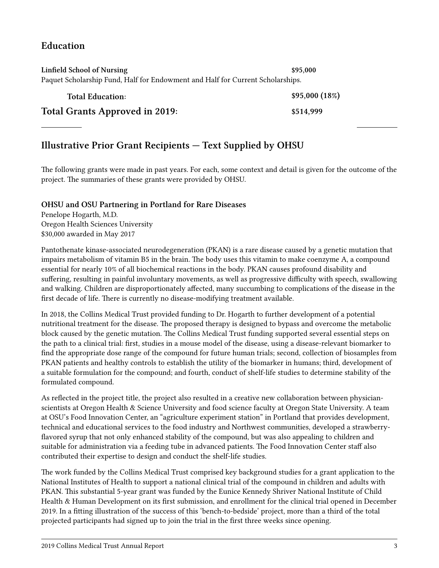## **Education**

| Linfield School of Nursing                                                     | \$95.000      |  |  |  |
|--------------------------------------------------------------------------------|---------------|--|--|--|
| Paquet Scholarship Fund, Half for Endowment and Half for Current Scholarships. |               |  |  |  |
| <b>Total Education:</b>                                                        | \$95,000(18%) |  |  |  |
| <b>Total Grants Approved in 2019:</b>                                          | \$514,999     |  |  |  |

# **Illustrative Prior Grant Recipients — Text Supplied by OHSU**

The following grants were made in past years. For each, some context and detail is given for the outcome of the project. The summaries of these grants were provided by OHSU.

#### **OHSU and OSU Partnering in Portland for Rare Diseases**

Penelope Hogarth, M.D. Oregon Health Sciences University \$30,000 awarded in May 2017

Pantothenate kinase-associated neurodegeneration (PKAN) is a rare disease caused by a genetic mutation that impairs metabolism of vitamin B5 in the brain. The body uses this vitamin to make coenzyme A, a compound essential for nearly 10% of all biochemical reactions in the body. PKAN causes profound disability and suffering, resulting in painful involuntary movements, as well as progressive difficulty with speech, swallowing and walking. Children are disproportionately affected, many succumbing to complications of the disease in the first decade of life. There is currently no disease-modifying treatment available.

In 2018, the Collins Medical Trust provided funding to Dr. Hogarth to further development of a potential nutritional treatment for the disease. The proposed therapy is designed to bypass and overcome the metabolic block caused by the genetic mutation. The Collins Medical Trust funding supported several essential steps on the path to a clinical trial: first, studies in a mouse model of the disease, using a disease-relevant biomarker to find the appropriate dose range of the compound for future human trials; second, collection of biosamples from PKAN patients and healthy controls to establish the utility of the biomarker in humans; third, development of a suitable formulation for the compound; and fourth, conduct of shelf-life studies to determine stability of the formulated compound.

As reflected in the project title, the project also resulted in a creative new collaboration between physicianscientists at Oregon Health & Science University and food science faculty at Oregon State University. A team at OSU's Food Innovation Center, an "agriculture experiment station" in Portland that provides development, technical and educational services to the food industry and Northwest communities, developed a strawberryflavored syrup that not only enhanced stability of the compound, but was also appealing to children and suitable for administration via a feeding tube in advanced patients. The Food Innovation Center staff also contributed their expertise to design and conduct the shelf-life studies.

The work funded by the Collins Medical Trust comprised key background studies for a grant application to the National Institutes of Health to support a national clinical trial of the compound in children and adults with PKAN. This substantial 5-year grant was funded by the Eunice Kennedy Shriver National Institute of Child Health & Human Development on its first submission, and enrollment for the clinical trial opened in December 2019. In a fitting illustration of the success of this 'bench-to-bedside' project, more than a third of the total projected participants had signed up to join the trial in the first three weeks since opening.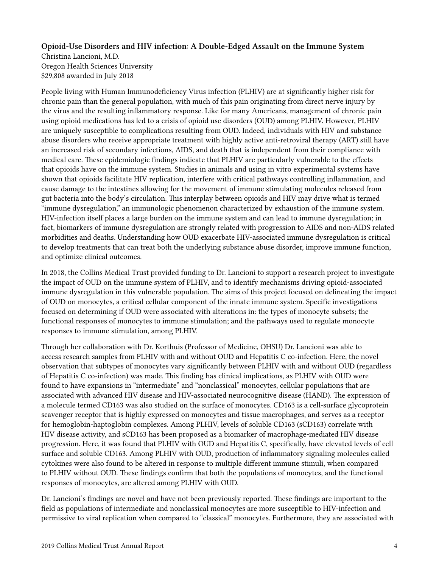#### **Opioid-Use Disorders and HIV infection: A Double-Edged Assault on the Immune System**

Christina Lancioni, M.D. Oregon Health Sciences University \$29,808 awarded in July 2018

People living with Human Immunodeficiency Virus infection (PLHIV) are at significantly higher risk for chronic pain than the general population, with much of this pain originating from direct nerve injury by the virus and the resulting inflammatory response. Like for many Americans, management of chronic pain using opioid medications has led to a crisis of opioid use disorders (OUD) among PLHIV. However, PLHIV are uniquely susceptible to complications resulting from OUD. Indeed, individuals with HIV and substance abuse disorders who receive appropriate treatment with highly active anti-retroviral therapy (ART) still have an increased risk of secondary infections, AIDS, and death that is independent from their compliance with medical care. These epidemiologic findings indicate that PLHIV are particularly vulnerable to the effects that opioids have on the immune system. Studies in animals and using in vitro experimental systems have shown that opioids facilitate HIV replication, interfere with critical pathways controlling inflammation, and cause damage to the intestines allowing for the movement of immune stimulating molecules released from gut bacteria into the body's circulation. This interplay between opioids and HIV may drive what is termed "immune dysregulation," an immunologic phenomenon characterized by exhaustion of the immune system. HIV-infection itself places a large burden on the immune system and can lead to immune dysregulation; in fact, biomarkers of immune dysregulation are strongly related with progression to AIDS and non-AIDS related morbidities and deaths. Understanding how OUD exacerbate HIV-associated immune dysregulation is critical to develop treatments that can treat both the underlying substance abuse disorder, improve immune function, and optimize clinical outcomes.

In 2018, the Collins Medical Trust provided funding to Dr. Lancioni to support a research project to investigate the impact of OUD on the immune system of PLHIV, and to identify mechanisms driving opioid-associated immune dysregulation in this vulnerable population. The aims of this project focused on delineating the impact of OUD on monocytes, a critical cellular component of the innate immune system. Specific investigations focused on determining if OUD were associated with alterations in: the types of monocyte subsets; the functional responses of monocytes to immune stimulation; and the pathways used to regulate monocyte responses to immune stimulation, among PLHIV.

Through her collaboration with Dr. Korthuis (Professor of Medicine, OHSU) Dr. Lancioni was able to access research samples from PLHIV with and without OUD and Hepatitis C co-infection. Here, the novel observation that subtypes of monocytes vary significantly between PLHIV with and without OUD (regardless of Hepatitis C co-infection) was made. This finding has clinical implications, as PLHIV with OUD were found to have expansions in "intermediate" and "nonclassical" monocytes, cellular populations that are associated with advanced HIV disease and HIV-associated neurocognitive disease (HAND). The expression of a molecule termed CD163 was also studied on the surface of monocytes. CD163 is a cell-surface glycoprotein scavenger receptor that is highly expressed on monocytes and tissue macrophages, and serves as a receptor for hemoglobin-haptoglobin complexes. Among PLHIV, levels of soluble CD163 (sCD163) correlate with HIV disease activity, and sCD163 has been proposed as a biomarker of macrophage-mediated HIV disease progression. Here, it was found that PLHIV with OUD and Hepatitis C, specifically, have elevated levels of cell surface and soluble CD163. Among PLHIV with OUD, production of inflammatory signaling molecules called cytokines were also found to be altered in response to multiple different immune stimuli, when compared to PLHIV without OUD. These findings confirm that both the populations of monocytes, and the functional responses of monocytes, are altered among PLHIV with OUD.

Dr. Lancioni's findings are novel and have not been previously reported. These findings are important to the field as populations of intermediate and nonclassical monocytes are more susceptible to HIV-infection and permissive to viral replication when compared to "classical" monocytes. Furthermore, they are associated with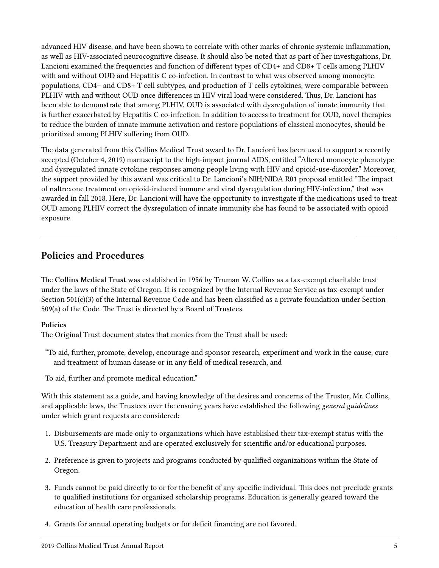advanced HIV disease, and have been shown to correlate with other marks of chronic systemic inflammation, as well as HIV-associated neurocognitive disease. It should also be noted that as part of her investigations, Dr. Lancioni examined the frequencies and function of different types of CD4+ and CD8+ T cells among PLHIV with and without OUD and Hepatitis C co-infection. In contrast to what was observed among monocyte populations, CD4+ and CD8+ T cell subtypes, and production of T cells cytokines, were comparable between PLHIV with and without OUD once differences in HIV viral load were considered. Thus, Dr. Lancioni has been able to demonstrate that among PLHIV, OUD is associated with dysregulation of innate immunity that is further exacerbated by Hepatitis C co-infection. In addition to access to treatment for OUD, novel therapies to reduce the burden of innate immune activation and restore populations of classical monocytes, should be prioritized among PLHIV suffering from OUD.

The data generated from this Collins Medical Trust award to Dr. Lancioni has been used to support a recently accepted (October 4, 2019) manuscript to the high-impact journal AIDS, entitled "Altered monocyte phenotype and dysregulated innate cytokine responses among people living with HIV and opioid-use-disorder." Moreover, the support provided by this award was critical to Dr. Lancioni's NIH/NIDA R01 proposal entitled "The impact of naltrexone treatment on opioid-induced immune and viral dysregulation during HIV-infection," that was awarded in fall 2018. Here, Dr. Lancioni will have the opportunity to investigate if the medications used to treat OUD among PLHIV correct the dysregulation of innate immunity she has found to be associated with opioid exposure.

### **Policies and Procedures**

The **Collins Medical Trust** was established in 1956 by Truman W. Collins as a tax-exempt charitable trust under the laws of the State of Oregon. It is recognized by the Internal Revenue Service as tax-exempt under Section 501(c)(3) of the Internal Revenue Code and has been classified as a private foundation under Section 509(a) of the Code. The Trust is directed by a Board of Trustees.

#### **Policies**

The Original Trust document states that monies from the Trust shall be used:

"To aid, further, promote, develop, encourage and sponsor research, experiment and work in the cause, cure and treatment of human disease or in any field of medical research, and

To aid, further and promote medical education."

With this statement as a guide, and having knowledge of the desires and concerns of the Trustor, Mr. Collins, and applicable laws, the Trustees over the ensuing years have established the following *general guidelines* under which grant requests are considered:

- 1. Disbursements are made only to organizations which have established their tax-exempt status with the U.S. Treasury Department and are operated exclusively for scientific and/or educational purposes.
- 2. Preference is given to projects and programs conducted by qualified organizations within the State of Oregon.
- 3. Funds cannot be paid directly to or for the benefit of any specific individual. This does not preclude grants to qualified institutions for organized scholarship programs. Education is generally geared toward the education of health care professionals.
- 4. Grants for annual operating budgets or for deficit financing are not favored.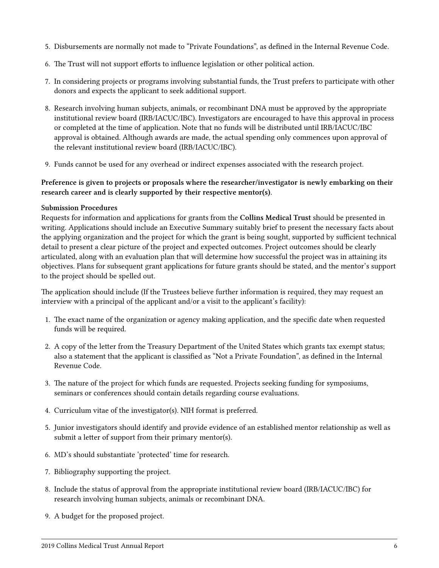- 5. Disbursements are normally not made to "Private Foundations", as defined in the Internal Revenue Code.
- 6. The Trust will not support efforts to influence legislation or other political action.
- 7. In considering projects or programs involving substantial funds, the Trust prefers to participate with other donors and expects the applicant to seek additional support.
- 8. Research involving human subjects, animals, or recombinant DNA must be approved by the appropriate institutional review board (IRB/IACUC/IBC). Investigators are encouraged to have this approval in process or completed at the time of application. Note that no funds will be distributed until IRB/IACUC/IBC approval is obtained. Although awards are made, the actual spending only commences upon approval of the relevant institutional review board (IRB/IACUC/IBC).
- 9. Funds cannot be used for any overhead or indirect expenses associated with the research project.

#### **Preference is given to projects or proposals where the researcher/investigator is newly embarking on their research career and is clearly supported by their respective mentor(s).**

#### **Submission Procedures**

Requests for information and applications for grants from the **Collins Medical Trust** should be presented in writing. Applications should include an Executive Summary suitably brief to present the necessary facts about the applying organization and the project for which the grant is being sought, supported by sufficient technical detail to present a clear picture of the project and expected outcomes. Project outcomes should be clearly articulated, along with an evaluation plan that will determine how successful the project was in attaining its objectives. Plans for subsequent grant applications for future grants should be stated, and the mentor's support to the project should be spelled out.

The application should include (If the Trustees believe further information is required, they may request an interview with a principal of the applicant and/or a visit to the applicant's facility):

- 1. The exact name of the organization or agency making application, and the specific date when requested funds will be required.
- 2. A copy of the letter from the Treasury Department of the United States which grants tax exempt status; also a statement that the applicant is classified as "Not a Private Foundation", as defined in the Internal Revenue Code.
- 3. The nature of the project for which funds are requested. Projects seeking funding for symposiums, seminars or conferences should contain details regarding course evaluations.
- 4. Curriculum vitae of the investigator(s). NIH format is preferred.
- 5. Junior investigators should identify and provide evidence of an established mentor relationship as well as submit a letter of support from their primary mentor(s).
- 6. MD's should substantiate 'protected' time for research.
- 7. Bibliography supporting the project.
- 8. Include the status of approval from the appropriate institutional review board (IRB/IACUC/IBC) for research involving human subjects, animals or recombinant DNA.
- 9. A budget for the proposed project.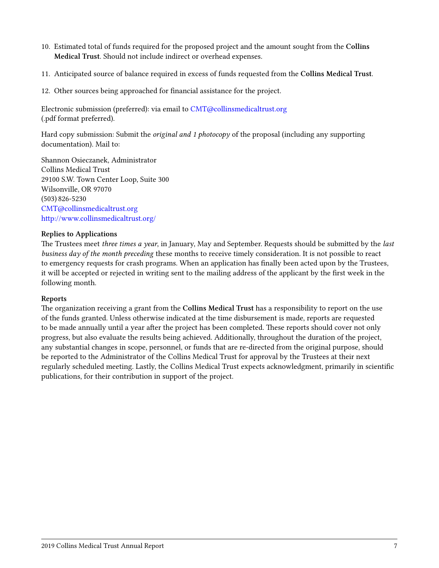- 10. Estimated total of funds required for the proposed project and the amount sought from the **Collins Medical Trust**. Should not include indirect or overhead expenses.
- 11. Anticipated source of balance required in excess of funds requested from the **Collins Medical Trust**.
- 12. Other sources being approached for financial assistance for the project.

Electronic submission (preferred): via email to [CMT@collinsmedicaltrust.org](mailto:CMT@collinsmedicaltrust.org) (.pdf format preferred).

Hard copy submission: Submit the *original and 1 photocopy* of the proposal (including any supporting documentation). Mail to:

Shannon Osieczanek, Administrator Collins Medical Trust 29100 S.W. Town Center Loop, Suite 300 Wilsonville, OR 97070 (503) 826-5230 [CMT@collinsmedicaltrust.org](mailto:CMT@collinsmedicaltrust.org) <http://www.collinsmedicaltrust.org/>

#### **Replies to Applications**

The Trustees meet *three times a year*, in January, May and September. Requests should be submitted by the *last business day of the month preceding* these months to receive timely consideration. It is not possible to react to emergency requests for crash programs. When an application has finally been acted upon by the Trustees, it will be accepted or rejected in writing sent to the mailing address of the applicant by the first week in the following month.

#### **Reports**

The organization receiving a grant from the **Collins Medical Trust** has a responsibility to report on the use of the funds granted. Unless otherwise indicated at the time disbursement is made, reports are requested to be made annually until a year after the project has been completed. These reports should cover not only progress, but also evaluate the results being achieved. Additionally, throughout the duration of the project, any substantial changes in scope, personnel, or funds that are re-directed from the original purpose, should be reported to the Administrator of the Collins Medical Trust for approval by the Trustees at their next regularly scheduled meeting. Lastly, the Collins Medical Trust expects acknowledgment, primarily in scientific publications, for their contribution in support of the project.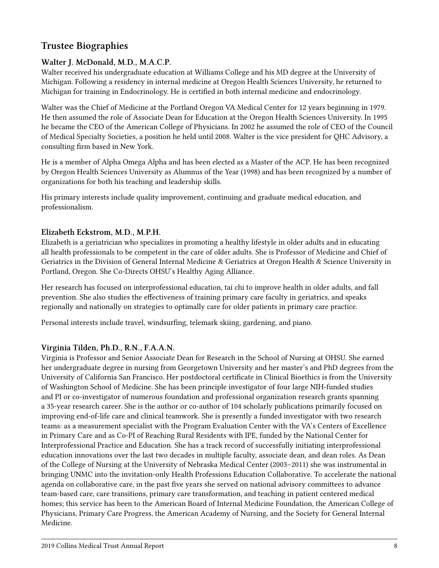# **Trustee Biographies**

#### **Walter J. McDonald, M.D., M.A.C.P.**

Walter received his undergraduate education at Williams College and his MD degree at the University of Michigan. Following a residency in internal medicine at Oregon Health Sciences University, he returned to Michigan for training in Endocrinology. He is certified in both internal medicine and endocrinology.

Walter was the Chief of Medicine at the Portland Oregon VA Medical Center for 12 years beginning in 1979. He then assumed the role of Associate Dean for Education at the Oregon Health Sciences University. In 1995 he became the CEO of the American College of Physicians. In 2002 he assumed the role of CEO of the Council of Medical Specialty Societies, a position he held until 2008. Walter is the vice president for QHC Advisory, a consulting firm based in New York.

He is a member of Alpha Omega Alpha and has been elected as a Master of the ACP. He has been recognized by Oregon Health Sciences University as Alumnus of the Year (1998) and has been recognized by a number of organizations for both his teaching and leadership skills.

His primary interests include quality improvement, continuing and graduate medical education, and professionalism.

#### **Elizabeth Eckstrom, M.D., M.P.H.**

Elizabeth is a geriatrician who specializes in promoting a healthy lifestyle in older adults and in educating all health professionals to be competent in the care of older adults. She is Professor of Medicine and Chief of Geriatrics in the Division of General Internal Medicine & Geriatrics at Oregon Health & Science University in Portland, Oregon. She Co-Directs OHSU's Healthy Aging Alliance.

Her research has focused on interprofessional education, tai chi to improve health in older adults, and fall prevention. She also studies the effectiveness of training primary care faculty in geriatrics, and speaks regionally and nationally on strategies to optimally care for older patients in primary care practice.

Personal interests include travel, windsurfing, telemark skiing, gardening, and piano.

#### **Virginia Tilden, Ph.D., R.N., F.A.A.N.**

Virginia is Professor and Senior Associate Dean for Research in the School of Nursing at OHSU. She earned her undergraduate degree in nursing from Georgetown University and her master's and PhD degrees from the University of California San Francisco. Her postdoctoral certificate in Clinical Bioethics is from the University of Washington School of Medicine. She has been principle investigator of four large NIH-funded studies and PI or co-investigator of numerous foundation and professional organization research grants spanning a 35-year research career. She is the author or co-author of 104 scholarly publications primarily focused on improving end-of-life care and clinical teamwork. She is presently a funded investigator with two research teams: as a measurement specialist with the Program Evaluation Center with the VA's Centers of Excellence in Primary Care and as Co-PI of Reaching Rural Residents with IPE, funded by the National Center for Interprofessional Practice and Education. She has a track record of successfully initiating interprofessional education innovations over the last two decades in multiple faculty, associate dean, and dean roles. As Dean of the College of Nursing at the University of Nebraska Medical Center (2003–2011) she was instrumental in bringing UNMC into the invitation-only Health Professions Education Collaborative. To accelerate the national agenda on collaborative care, in the past five years she served on national advisory committees to advance team-based care, care transitions, primary care transformation, and teaching in patient centered medical homes; this service has been to the American Board of Internal Medicine Foundation, the American College of Physicians, Primary Care Progress, the American Academy of Nursing, and the Society for General Internal Medicine.